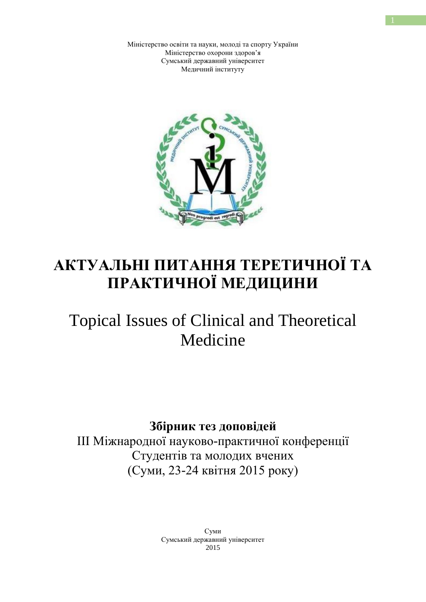Міністерство освіти та науки, молоді та спорту України Міністерство охорони здоров'я Сумський державний університет Медичний інституту



## **АКТУАЛЬНІ ПИТАННЯ ТЕРЕТИЧНОЇ ТА ПРАКТИЧНОЇ МЕДИЦИНИ**

# Topical Issues of Clinical and Theoretical Medicine

**Збірник тез доповідей** 

ІІІ Міжнародної науково-практичної конференції Студентів та молодих вчених (Суми, 23-24 квітня 2015 року)

> Суми Сумський державний університет 2015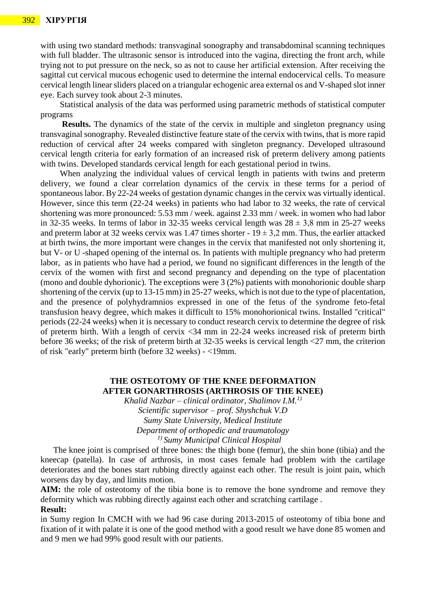with using two standard methods: transvaginal sonography and transabdominal scanning techniques with full bladder. The ultrasonic sensor is introduced into the vagina, directing the front arch, while trying not to put pressure on the neck, so as not to cause her artificial extension. After receiving the sagittal cut cervical mucous echogenic used to determine the internal endocervical cells. To measure cervical length linear sliders placed on a triangular echogenic area external os and V-shaped slot inner eye. Each survey took about 2-3 minutes.

 Statistical analysis of the data was performed using parametric methods of statistical computer programs

**Results.** The dynamics of the state of the cervix in multiple and singleton pregnancy using transvaginal sonography. Revealed distinctive feature state of the cervix with twins, that is more rapid reduction of cervical after 24 weeks compared with singleton pregnancy. Developed ultrasound cervical length criteria for early formation of an increased risk of preterm delivery among patients with twins. Developed standards cervical length for each gestational period in twins.

 When analyzing the individual values of cervical length in patients with twins and preterm delivery, we found a clear correlation dynamics of the cervix in these terms for a period of spontaneous labor. By 22-24 weeks of gestation dynamic changes in the cervix was virtually identical. However, since this term (22-24 weeks) in patients who had labor to 32 weeks, the rate of cervical shortening was more pronounced: 5.53 mm / week. against 2.33 mm / week. in women who had labor in 32-35 weeks. In terms of labor in 32-35 weeks cervical length was  $28 \pm 3.8$  mm in 25-27 weeks and preterm labor at 32 weeks cervix was 1.47 times shorter -  $19 \pm 3.2$  mm. Thus, the earlier attacked at birth twins, the more important were changes in the cervix that manifested not only shortening it, but V- or U -shaped opening of the internal os. In patients with multiple pregnancy who had preterm labor, as in patients who have had a period, we found no significant differences in the length of the cervix of the women with first and second pregnancy and depending on the type of placentation (mono and double dyhorionic). The exceptions were 3 (2%) patients with monohorionic double sharp shortening of the cervix (up to 13-15 mm) in 25-27 weeks, which is not due to the type of placentation, and the presence of polyhydramnios expressed in one of the fetus of the syndrome feto-fetal transfusion heavy degree, which makes it difficult to 15% monohorionical twins. Installed "critical" periods (22-24 weeks) when it is necessary to conduct research cervix to determine the degree of risk of preterm birth. With a length of cervix <34 mm in 22-24 weeks increased risk of preterm birth before 36 weeks; of the risk of preterm birth at 32-35 weeks is cervical length <27 mm, the criterion of risk "early" preterm birth (before 32 weeks) - <19mm.

### **THE OSTEOTOMY OF THE KNEE DEFORMATION AFTER GONARTHROSIS (ARTHROSIS OF THE KNEE)**

*Khalid Nazbar – clinical ordinator, Shalimov I.M.1) Scientific supervisor – prof. Shyshchuk V.D Sumy State University, Medical Institute Department of orthopedic and traumatology 1) Sumy Municipal Clinical Hospital*

The knee joint is comprised of three bones: the thigh bone (femur), the shin bone (tibia) and the kneecap (patella). In case of arthrosis, in most cases female had problem with the cartilage deteriorates and the bones start rubbing directly against each other. The result is joint pain, which worsens day by day, and limits motion.

AIM: the role of osteotomy of the tibia bone is to remove the bone syndrome and remove they deformity which was rubbing directly against each other and scratching cartilage .

#### **Result:**

in Sumy region In CMCH with we had 96 case during 2013-2015 of osteotomy of tibia bone and fixation of it with palate it is one of the good method with a good result we have done 85 women and and 9 men we had 99% good result with our patients.